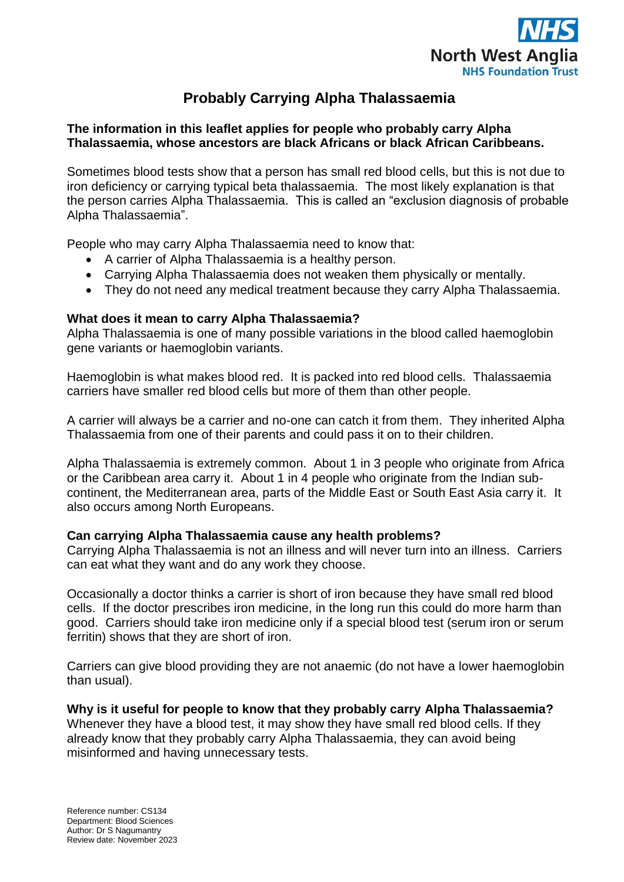

# **Probably Carrying Alpha Thalassaemia**

## **The information in this leaflet applies for people who probably carry Alpha Thalassaemia, whose ancestors are black Africans or black African Caribbeans.**

Sometimes blood tests show that a person has small red blood cells, but this is not due to iron deficiency or carrying typical beta thalassaemia. The most likely explanation is that the person carries Alpha Thalassaemia. This is called an "exclusion diagnosis of probable Alpha Thalassaemia".

People who may carry Alpha Thalassaemia need to know that:

- A carrier of Alpha Thalassaemia is a healthy person.
- Carrying Alpha Thalassaemia does not weaken them physically or mentally.
- They do not need any medical treatment because they carry Alpha Thalassaemia.

### **What does it mean to carry Alpha Thalassaemia?**

Alpha Thalassaemia is one of many possible variations in the blood called haemoglobin gene variants or haemoglobin variants.

Haemoglobin is what makes blood red. It is packed into red blood cells. Thalassaemia carriers have smaller red blood cells but more of them than other people.

A carrier will always be a carrier and no-one can catch it from them. They inherited Alpha Thalassaemia from one of their parents and could pass it on to their children.

Alpha Thalassaemia is extremely common. About 1 in 3 people who originate from Africa or the Caribbean area carry it. About 1 in 4 people who originate from the Indian subcontinent, the Mediterranean area, parts of the Middle East or South East Asia carry it. It also occurs among North Europeans.

## **Can carrying Alpha Thalassaemia cause any health problems?**

Carrying Alpha Thalassaemia is not an illness and will never turn into an illness. Carriers can eat what they want and do any work they choose.

Occasionally a doctor thinks a carrier is short of iron because they have small red blood cells. If the doctor prescribes iron medicine, in the long run this could do more harm than good. Carriers should take iron medicine only if a special blood test (serum iron or serum ferritin) shows that they are short of iron.

Carriers can give blood providing they are not anaemic (do not have a lower haemoglobin than usual).

**Why is it useful for people to know that they probably carry Alpha Thalassaemia?** Whenever they have a blood test, it may show they have small red blood cells. If they already know that they probably carry Alpha Thalassaemia, they can avoid being misinformed and having unnecessary tests.